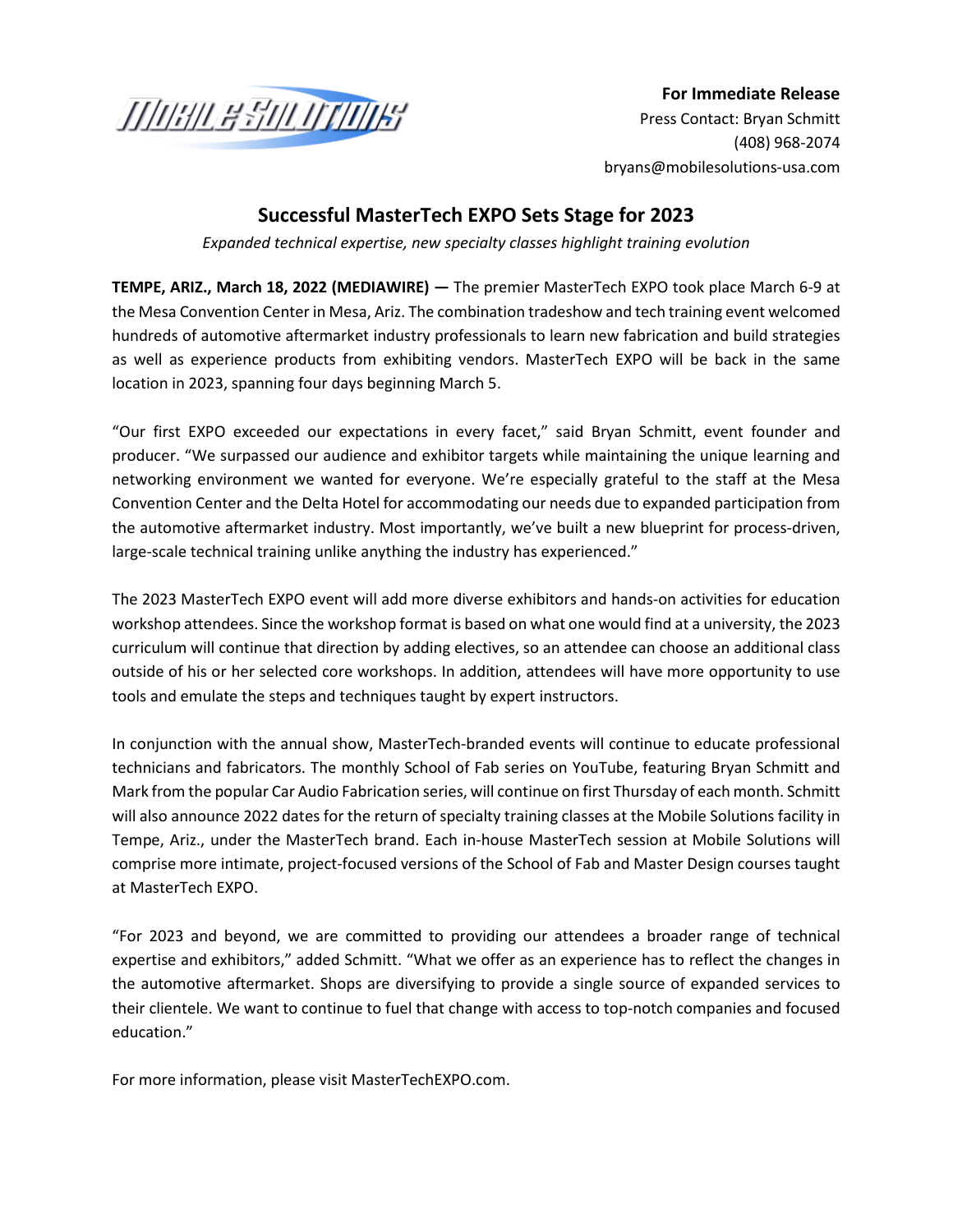

**For Immediate Release** Press Contact: Bryan Schmitt [\(408\) 9](mailto:jvarick@brandmotion.com)68-2074 bryans@mobilesolutions-usa.com

## **Successful MasterTech EXPO Sets Stage for 2023**

*Expanded technical expertise, new specialty classes highlight training evolution*

**TEMPE, ARIZ., March 18, 2022 (MEDIAWIRE) —** The premier MasterTech EXPO took place March 6-9 at the Mesa Convention Center in Mesa, Ariz. The combination tradeshow and tech training event welcomed hundreds of automotive aftermarket industry professionals to learn new fabrication and build strategies as well as experience products from exhibiting vendors. MasterTech EXPO will be back in the same location in 2023, spanning four days beginning March 5.

"Our first EXPO exceeded our expectations in every facet," said Bryan Schmitt, event founder and producer. "We surpassed our audience and exhibitor targets while maintaining the unique learning and networking environment we wanted for everyone. We're especially grateful to the staff at the Mesa Convention Center and the Delta Hotel for accommodating our needs due to expanded participation from the automotive aftermarket industry. Most importantly, we've built a new blueprint for process-driven, large-scale technical training unlike anything the industry has experienced."

The 2023 MasterTech EXPO event will add more diverse exhibitors and hands-on activities for education workshop attendees. Since the workshop format is based on what one would find at a university, the 2023 curriculum will continue that direction by adding electives, so an attendee can choose an additional class outside of his or her selected core workshops. In addition, attendees will have more opportunity to use tools and emulate the steps and techniques taught by expert instructors.

In conjunction with the annual show, MasterTech-branded events will continue to educate professional technicians and fabricators. The monthly School of Fab series on YouTube, featuring Bryan Schmitt and Mark from the popular Car Audio Fabrication series, will continue on first Thursday of each month. Schmitt will also announce 2022 dates for the return of specialty training classes at the Mobile Solutions facility in Tempe, Ariz., under the MasterTech brand. Each in-house MasterTech session at Mobile Solutions will comprise more intimate, project-focused versions of the School of Fab and Master Design courses taught at MasterTech EXPO.

"For 2023 and beyond, we are committed to providing our attendees a broader range of technical expertise and exhibitors," added Schmitt. "What we offer as an experience has to reflect the changes in the automotive aftermarket. Shops are diversifying to provide a single source of expanded services to their clientele. We want to continue to fuel that change with access to top-notch companies and focused education."

For more information, please visit MasterTechEXPO.com.